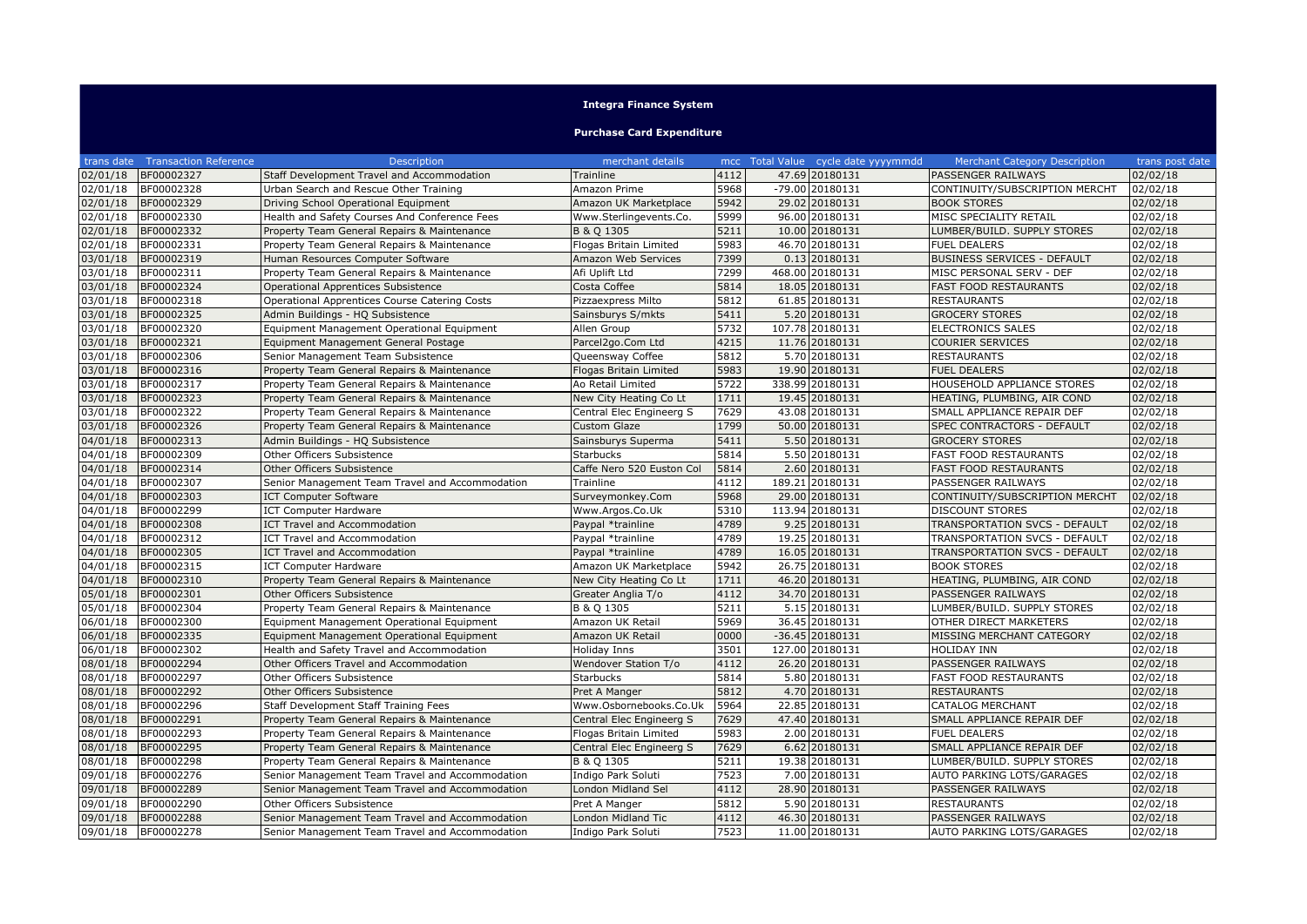## **Integra Finance System**

## **Purchase Card Expenditure**

| trans date | <b>Transaction Reference</b> | <b>Description</b>                              | merchant details          |      | mcc Total Value cycle date yyyymmdd | <b>Merchant Category Description</b> | trans post date |
|------------|------------------------------|-------------------------------------------------|---------------------------|------|-------------------------------------|--------------------------------------|-----------------|
| 02/01/18   | BF00002327                   | Staff Development Travel and Accommodation      | Trainline                 | 4112 | 47.69 20180131                      | PASSENGER RAILWAYS                   | 02/02/18        |
| 02/01/18   | BF00002328                   | Urban Search and Rescue Other Training          | Amazon Prime              | 5968 | $-79.00$ 20180131                   | CONTINUITY/SUBSCRIPTION MERCHT       | 02/02/18        |
| 02/01/18   | BF00002329                   | Driving School Operational Equipment            | Amazon UK Marketplace     | 5942 | 29.02 20180131                      | <b>BOOK STORES</b>                   | 02/02/18        |
| 02/01/18   | BF00002330                   | Health and Safety Courses And Conference Fees   | Www.Sterlingevents.Co.    | 5999 | 96.00 20180131                      | MISC SPECIALITY RETAIL               | 02/02/18        |
| 02/01/18   | BF00002332                   | Property Team General Repairs & Maintenance     | B & Q 1305                | 5211 | 10.00 20180131                      | LUMBER/BUILD. SUPPLY STORES          | 02/02/18        |
| 02/01/18   | BF00002331                   | Property Team General Repairs & Maintenance     | Flogas Britain Limited    | 5983 | 46.70 20180131                      | <b>FUEL DEALERS</b>                  | 02/02/18        |
| 03/01/18   | BF00002319                   | Human Resources Computer Software               | Amazon Web Services       | 7399 | 0.13 20180131                       | <b>BUSINESS SERVICES - DEFAULT</b>   | 02/02/18        |
| 03/01/18   | BF00002311                   | Property Team General Repairs & Maintenance     | Afi Uplift Ltd            | 7299 | 468.00 20180131                     | MISC PERSONAL SERV - DEF             | 02/02/18        |
| 03/01/18   | BF00002324                   | Operational Apprentices Subsistence             | Costa Coffee              | 5814 | 18.05 20180131                      | <b>FAST FOOD RESTAURANTS</b>         | 02/02/18        |
| 03/01/18   | BF00002318                   | Operational Apprentices Course Catering Costs   | Pizzaexpress Milto        | 5812 | 61.85 20180131                      | <b>RESTAURANTS</b>                   | 02/02/18        |
| 03/01/18   | BF00002325                   | Admin Buildings - HQ Subsistence                | Sainsburys S/mkts         | 5411 | 5.20 20180131                       | <b>GROCERY STORES</b>                | 02/02/18        |
| 03/01/18   | BF00002320                   | Equipment Management Operational Equipment      | Allen Group               | 5732 | 107.78 20180131                     | <b>ELECTRONICS SALES</b>             | 02/02/18        |
| 03/01/18   | BF00002321                   | Equipment Management General Postage            | Parcel2go.Com Ltd         | 4215 | 11.76 20180131                      | <b>COURIER SERVICES</b>              | 02/02/18        |
| 03/01/18   | BF00002306                   | Senior Management Team Subsistence              | Queensway Coffee          | 5812 | 5.70 20180131                       | <b>RESTAURANTS</b>                   | 02/02/18        |
| 03/01/18   | BF00002316                   | Property Team General Repairs & Maintenance     | Flogas Britain Limited    | 5983 | 19.90 20180131                      | <b>FUEL DEALERS</b>                  | 02/02/18        |
| 03/01/18   | BF00002317                   | Property Team General Repairs & Maintenance     | Ao Retail Limited         | 5722 | 338.99 20180131                     | HOUSEHOLD APPLIANCE STORES           | 02/02/18        |
| 03/01/18   | BF00002323                   | Property Team General Repairs & Maintenance     | New City Heating Co Lt    | 1711 | 19.45 20180131                      | HEATING, PLUMBING, AIR COND          | 02/02/18        |
| 03/01/18   | BF00002322                   | Property Team General Repairs & Maintenance     | Central Elec Engineerg S  | 7629 | 43.08 20180131                      | SMALL APPLIANCE REPAIR DEF           | 02/02/18        |
| 03/01/18   | BF00002326                   | Property Team General Repairs & Maintenance     | Custom Glaze              | 1799 | 50.00 20180131                      | SPEC CONTRACTORS - DEFAULT           | 02/02/18        |
| 04/01/18   | BF00002313                   | Admin Buildings - HQ Subsistence                | Sainsburys Superma        | 5411 | 5.50 20180131                       | <b>GROCERY STORES</b>                | 02/02/18        |
| 04/01/18   | BF00002309                   | Other Officers Subsistence                      | <b>Starbucks</b>          | 5814 | 5.50 20180131                       | <b>FAST FOOD RESTAURANTS</b>         | 02/02/18        |
| 04/01/18   | BF00002314                   | Other Officers Subsistence                      | Caffe Nero 520 Euston Col | 5814 | 2.60 20180131                       | <b>FAST FOOD RESTAURANTS</b>         | 02/02/18        |
| 04/01/18   | BF00002307                   | Senior Management Team Travel and Accommodation | Trainline                 | 4112 | 189.21 20180131                     | PASSENGER RAILWAYS                   | 02/02/18        |
| 04/01/18   | BF00002303                   | <b>ICT Computer Software</b>                    | Surveymonkey.Com          | 5968 | 29.00 20180131                      | CONTINUITY/SUBSCRIPTION MERCHT       | 02/02/18        |
| 04/01/18   | BF00002299                   | <b>ICT Computer Hardware</b>                    | Www.Argos.Co.Uk           | 5310 | 113.94 20180131                     | <b>DISCOUNT STORES</b>               | 02/02/18        |
| 04/01/18   | BF00002308                   | ICT Travel and Accommodation                    | Paypal *trainline         | 4789 | 9.25 20180131                       | TRANSPORTATION SVCS - DEFAULT        | 02/02/18        |
| 04/01/18   | BF00002312                   | <b>ICT Travel and Accommodation</b>             | Paypal *trainline         | 4789 | 19.25 20180131                      | TRANSPORTATION SVCS - DEFAULT        | 02/02/18        |
| 04/01/18   | BF00002305                   | ICT Travel and Accommodation                    | Paypal *trainline         | 4789 | 16.05 20180131                      | TRANSPORTATION SVCS - DEFAULT        | 02/02/18        |
| 04/01/18   | BF00002315                   | <b>ICT Computer Hardware</b>                    | Amazon UK Marketplace     | 5942 | 26.75 20180131                      | <b>BOOK STORES</b>                   | 02/02/18        |
| 04/01/18   | BF00002310                   | Property Team General Repairs & Maintenance     | New City Heating Co Lt    | 1711 | 46.20 20180131                      | HEATING, PLUMBING, AIR COND          | 02/02/18        |
| 05/01/18   | BF00002301                   | Other Officers Subsistence                      | Greater Anglia T/o        | 4112 | 34.70 20180131                      | PASSENGER RAILWAYS                   | 02/02/18        |
| 05/01/18   | BF00002304                   | Property Team General Repairs & Maintenance     | B & Q 1305                | 5211 | 5.15 20180131                       | LUMBER/BUILD. SUPPLY STORES          | 02/02/18        |
| 06/01/18   | BF00002300                   | Equipment Management Operational Equipment      | Amazon UK Retail          | 5969 | 36.45 20180131                      | OTHER DIRECT MARKETERS               | 02/02/18        |
| 06/01/18   | BF00002335                   | Equipment Management Operational Equipment      | Amazon UK Retail          | 0000 | $-36.45$ 20180131                   | MISSING MERCHANT CATEGORY            | 02/02/18        |
| 06/01/18   | BF00002302                   | Health and Safety Travel and Accommodation      | <b>Holiday Inns</b>       | 3501 | 127.00 20180131                     | <b>HOLIDAY INN</b>                   | 02/02/18        |
| 08/01/18   | BF00002294                   | Other Officers Travel and Accommodation         | Wendover Station T/o      | 4112 | 26.20 20180131                      | PASSENGER RAILWAYS                   | 02/02/18        |
| 08/01/18   | BF00002297                   | Other Officers Subsistence                      | <b>Starbucks</b>          | 5814 | 5.80 20180131                       | <b>FAST FOOD RESTAURANTS</b>         | 02/02/18        |
| 08/01/18   | BF00002292                   | <b>Other Officers Subsistence</b>               | Pret A Manger             | 5812 | 4.70 20180131                       | <b>RESTAURANTS</b>                   | 02/02/18        |
| 08/01/18   | BF00002296                   | Staff Development Staff Training Fees           | Www.Osbornebooks.Co.Uk    | 5964 | 22.85 20180131                      | <b>CATALOG MERCHANT</b>              | 02/02/18        |
| 08/01/18   | BF00002291                   | Property Team General Repairs & Maintenance     | Central Elec Engineerg S  | 7629 | 47.40 20180131                      | SMALL APPLIANCE REPAIR DEF           | 02/02/18        |
| 08/01/18   | BF00002293                   | Property Team General Repairs & Maintenance     | Flogas Britain Limited    | 5983 | 2.00 20180131                       | <b>FUEL DEALERS</b>                  | 02/02/18        |
| 08/01/18   | BF00002295                   | Property Team General Repairs & Maintenance     | Central Elec Engineerg S  | 7629 | 6.62 20180131                       | SMALL APPLIANCE REPAIR DEF           | 02/02/18        |
| 08/01/18   | BF00002298                   | Property Team General Repairs & Maintenance     | B & Q 1305                | 5211 | 19.38 20180131                      | LUMBER/BUILD. SUPPLY STORES          | 02/02/18        |
| 09/01/18   | BF00002276                   | Senior Management Team Travel and Accommodation | Indigo Park Soluti        | 7523 | 7.00 20180131                       | AUTO PARKING LOTS/GARAGES            | 02/02/18        |
| 09/01/18   | BF00002289                   | Senior Management Team Travel and Accommodation | London Midland Sel        | 4112 | 28.90 20180131                      | PASSENGER RAILWAYS                   | 02/02/18        |
| 09/01/18   | BF00002290                   | Other Officers Subsistence                      | Pret A Manger             | 5812 | 5.90 20180131                       | <b>RESTAURANTS</b>                   | 02/02/18        |
| 09/01/18   | BF00002288                   | Senior Management Team Travel and Accommodation | London Midland Tic        | 4112 | 46.30 20180131                      | PASSENGER RAILWAYS                   | 02/02/18        |
| 09/01/18   | BF00002278                   | Senior Management Team Travel and Accommodation | Indigo Park Soluti        | 7523 | 11.00 20180131                      | AUTO PARKING LOTS/GARAGES            | 02/02/18        |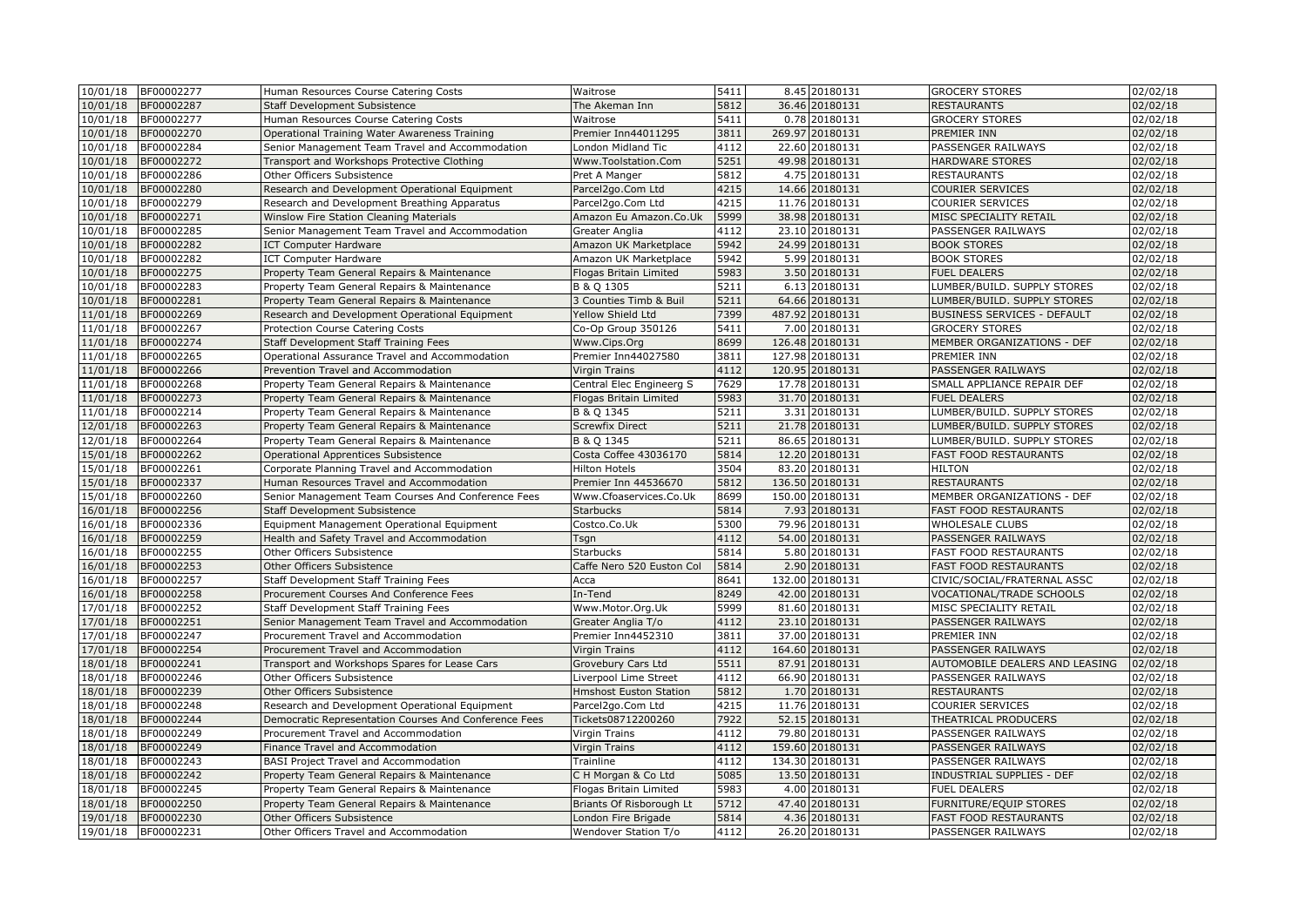| 10/01/18 | BF00002277 | Human Resources Course Catering Costs                 | Waitrose                      | 5411 | 8.45 20180131   | <b>GROCERY STORES</b>           | 02/02/18 |
|----------|------------|-------------------------------------------------------|-------------------------------|------|-----------------|---------------------------------|----------|
| 10/01/18 | BF00002287 | <b>Staff Development Subsistence</b>                  | The Akeman Inn                | 5812 | 36.46 20180131  | <b>RESTAURANTS</b>              | 02/02/18 |
| 10/01/18 | BF00002277 | Human Resources Course Catering Costs                 | Waitrose                      | 5411 | 0.78 20180131   | <b>GROCERY STORES</b>           | 02/02/18 |
| 10/01/18 | BF00002270 | Operational Training Water Awareness Training         | Premier Inn44011295           | 3811 | 269.97 20180131 | PREMIER INN                     | 02/02/18 |
| 10/01/18 | BF00002284 | Senior Management Team Travel and Accommodation       | London Midland Tic            | 4112 | 22.60 20180131  | PASSENGER RAILWAYS              | 02/02/18 |
| 10/01/18 | BF00002272 | Transport and Workshops Protective Clothing           | Www.Toolstation.Com           | 5251 | 49.98 20180131  | <b>HARDWARE STORES</b>          | 02/02/18 |
| 10/01/18 | BF00002286 | Other Officers Subsistence                            | Pret A Manger                 | 5812 | 4.75 20180131   | <b>RESTAURANTS</b>              | 02/02/18 |
| 10/01/18 | BF00002280 | Research and Development Operational Equipment        | Parcel2go.Com Ltd             | 4215 | 14.66 20180131  | <b>COURIER SERVICES</b>         | 02/02/18 |
| 10/01/18 | BF00002279 | Research and Development Breathing Apparatus          | Parcel2go.Com Ltd             | 4215 | 11.76 20180131  | <b>COURIER SERVICES</b>         | 02/02/18 |
| 10/01/18 | BF00002271 | Winslow Fire Station Cleaning Materials               | Amazon Eu Amazon.Co.Uk        | 5999 | 38.98 20180131  | MISC SPECIALITY RETAIL          | 02/02/18 |
| 10/01/18 | BF00002285 | Senior Management Team Travel and Accommodation       | Greater Anglia                | 4112 | 23.10 20180131  | PASSENGER RAILWAYS              | 02/02/18 |
| 10/01/18 | BF00002282 | <b>ICT Computer Hardware</b>                          | Amazon UK Marketplace         | 5942 | 24.99 20180131  | <b>BOOK STORES</b>              | 02/02/18 |
| 10/01/18 | BF00002282 | <b>ICT Computer Hardware</b>                          | Amazon UK Marketplace         | 5942 | 5.99 20180131   | <b>BOOK STORES</b>              | 02/02/18 |
| 10/01/18 | BF00002275 | Property Team General Repairs & Maintenance           | Flogas Britain Limited        | 5983 | 3.50 20180131   | <b>FUEL DEALERS</b>             | 02/02/18 |
| 10/01/18 | BF00002283 | Property Team General Repairs & Maintenance           | B & Q 1305                    | 5211 | 6.13 20180131   | LUMBER/BUILD. SUPPLY STORES     | 02/02/18 |
| 10/01/18 | BF00002281 | Property Team General Repairs & Maintenance           | 3 Counties Timb & Buil        | 5211 | 64.66 20180131  | LUMBER/BUILD. SUPPLY STORES     | 02/02/18 |
| 11/01/18 | BF00002269 | Research and Development Operational Equipment        | Yellow Shield Ltd             | 7399 | 487.92 20180131 | BUSINESS SERVICES - DEFAULT     | 02/02/18 |
| 11/01/18 | BF00002267 | Protection Course Catering Costs                      | Co-Op Group 350126            | 5411 | 7.00 20180131   | <b>GROCERY STORES</b>           | 02/02/18 |
| 11/01/18 | BF00002274 | Staff Development Staff Training Fees                 | Www.Cips.Org                  | 8699 | 126.48 20180131 | MEMBER ORGANIZATIONS - DEF      | 02/02/18 |
| 11/01/18 | BF00002265 | Operational Assurance Travel and Accommodation        | Premier Inn44027580           | 3811 | 127.98 20180131 | PREMIER INN                     | 02/02/18 |
| 11/01/18 | BF00002266 | Prevention Travel and Accommodation                   | Virgin Trains                 | 4112 | 120.95 20180131 | PASSENGER RAILWAYS              | 02/02/18 |
| 11/01/18 | BF00002268 | Property Team General Repairs & Maintenance           | Central Elec Engineerg S      | 7629 | 17.78 20180131  | SMALL APPLIANCE REPAIR DEF      | 02/02/18 |
| 11/01/18 | BF00002273 | Property Team General Repairs & Maintenance           | Flogas Britain Limited        | 5983 | 31.70 20180131  | <b>FUEL DEALERS</b>             | 02/02/18 |
| 11/01/18 | BF00002214 | Property Team General Repairs & Maintenance           | B & Q 1345                    | 5211 | 3.31 20180131   | LUMBER/BUILD. SUPPLY STORES     | 02/02/18 |
| 12/01/18 | BF00002263 | Property Team General Repairs & Maintenance           | <b>Screwfix Direct</b>        | 5211 | 21.78 20180131  | LUMBER/BUILD. SUPPLY STORES     | 02/02/18 |
| 12/01/18 | BF00002264 | Property Team General Repairs & Maintenance           | B & Q 1345                    | 5211 | 86.65 20180131  | LUMBER/BUILD. SUPPLY STORES     | 02/02/18 |
| 15/01/18 | BF00002262 | Operational Apprentices Subsistence                   | Costa Coffee 43036170         | 5814 | 12.20 20180131  | <b>FAST FOOD RESTAURANTS</b>    | 02/02/18 |
| 15/01/18 | BF00002261 | Corporate Planning Travel and Accommodation           | <b>Hilton Hotels</b>          | 3504 | 83.20 20180131  | <b>HILTON</b>                   | 02/02/18 |
| 15/01/18 | BF00002337 | Human Resources Travel and Accommodation              | Premier Inn 44536670          | 5812 | 136.50 20180131 | <b>RESTAURANTS</b>              | 02/02/18 |
| 15/01/18 | BF00002260 | Senior Management Team Courses And Conference Fees    | Www.Cfoaservices.Co.Uk        | 8699 | 150.00 20180131 | MEMBER ORGANIZATIONS - DEF      | 02/02/18 |
| 16/01/18 | BF00002256 | <b>Staff Development Subsistence</b>                  | <b>Starbucks</b>              | 5814 | 7.93 20180131   | FAST FOOD RESTAURANTS           | 02/02/18 |
| 16/01/18 | BF00002336 | Equipment Management Operational Equipment            | Costco.Co.Uk                  | 5300 | 79.96 20180131  | <b>WHOLESALE CLUBS</b>          | 02/02/18 |
| 16/01/18 | BF00002259 | Health and Safety Travel and Accommodation            | Tsgn                          | 4112 | 54.00 20180131  | PASSENGER RAILWAYS              | 02/02/18 |
| 16/01/18 | BF00002255 | Other Officers Subsistence                            | <b>Starbucks</b>              | 5814 | 5.80 20180131   | FAST FOOD RESTAURANTS           | 02/02/18 |
| 16/01/18 | BF00002253 | Other Officers Subsistence                            | Caffe Nero 520 Euston Col     | 5814 | 2.90 20180131   | <b>FAST FOOD RESTAURANTS</b>    | 02/02/18 |
| 16/01/18 | BF00002257 | Staff Development Staff Training Fees                 | Acca                          | 8641 | 132.00 20180131 | CIVIC/SOCIAL/FRATERNAL ASSC     | 02/02/18 |
| 16/01/18 | BF00002258 | Procurement Courses And Conference Fees               | In-Tend                       | 8249 | 42.00 20180131  | <b>VOCATIONAL/TRADE SCHOOLS</b> | 02/02/18 |
| 17/01/18 | BF00002252 | Staff Development Staff Training Fees                 | Www.Motor.Org.Uk              | 5999 | 81.60 20180131  | MISC SPECIALITY RETAIL          | 02/02/18 |
| 17/01/18 | BF00002251 | Senior Management Team Travel and Accommodation       | Greater Anglia T/o            | 4112 | 23.10 20180131  | PASSENGER RAILWAYS              | 02/02/18 |
| 17/01/18 | BF00002247 | Procurement Travel and Accommodation                  | Premier Inn4452310            | 3811 | 37.00 20180131  | PREMIER INN                     | 02/02/18 |
| 17/01/18 | BF00002254 | Procurement Travel and Accommodation                  | Virgin Trains                 | 4112 | 164.60 20180131 | PASSENGER RAILWAYS              | 02/02/18 |
| 18/01/18 | BF00002241 | Transport and Workshops Spares for Lease Cars         | Grovebury Cars Ltd            | 5511 | 87.91 20180131  | AUTOMOBILE DEALERS AND LEASING  | 02/02/18 |
| 18/01/18 | BF00002246 | Other Officers Subsistence                            | Liverpool Lime Street         | 4112 | 66.90 20180131  | PASSENGER RAILWAYS              | 02/02/18 |
| 18/01/18 | BF00002239 | Other Officers Subsistence                            | <b>Hmshost Euston Station</b> | 5812 | 1.70 20180131   | <b>RESTAURANTS</b>              | 02/02/18 |
| 18/01/18 | BF00002248 | Research and Development Operational Equipment        | Parcel2go.Com Ltd             | 4215 | 11.76 20180131  | COURIER SERVICES                | 02/02/18 |
| 18/01/18 | BF00002244 | Democratic Representation Courses And Conference Fees | Tickets08712200260            | 7922 | 52.15 20180131  | THEATRICAL PRODUCERS            | 02/02/18 |
| 18/01/18 | BF00002249 | Procurement Travel and Accommodation                  | <b>Virgin Trains</b>          | 4112 | 79.80 20180131  | PASSENGER RAILWAYS              | 02/02/18 |
| 18/01/18 | BF00002249 | Finance Travel and Accommodation                      | Virgin Trains                 | 4112 | 159.60 20180131 | PASSENGER RAILWAYS              | 02/02/18 |
| 18/01/18 | BF00002243 | <b>BASI Project Travel and Accommodation</b>          | Trainline                     | 4112 | 134.30 20180131 | PASSENGER RAILWAYS              | 02/02/18 |
| 18/01/18 | BF00002242 | Property Team General Repairs & Maintenance           | C H Morgan & Co Ltd           | 5085 | 13.50 20180131  | INDUSTRIAL SUPPLIES - DEF       | 02/02/18 |
| 18/01/18 | BF00002245 | Property Team General Repairs & Maintenance           | Flogas Britain Limited        | 5983 | 4.00 20180131   | <b>FUEL DEALERS</b>             | 02/02/18 |
| 18/01/18 | BF00002250 | Property Team General Repairs & Maintenance           | Briants Of Risborough Lt      | 5712 | 47.40 20180131  | FURNITURE/EQUIP STORES          | 02/02/18 |
| 19/01/18 | BF00002230 | Other Officers Subsistence                            | London Fire Brigade           | 5814 | 4.36 20180131   | <b>FAST FOOD RESTAURANTS</b>    | 02/02/18 |
| 19/01/18 | BF00002231 | Other Officers Travel and Accommodation               | Wendover Station T/o          | 4112 | 26.20 20180131  | PASSENGER RAILWAYS              | 02/02/18 |